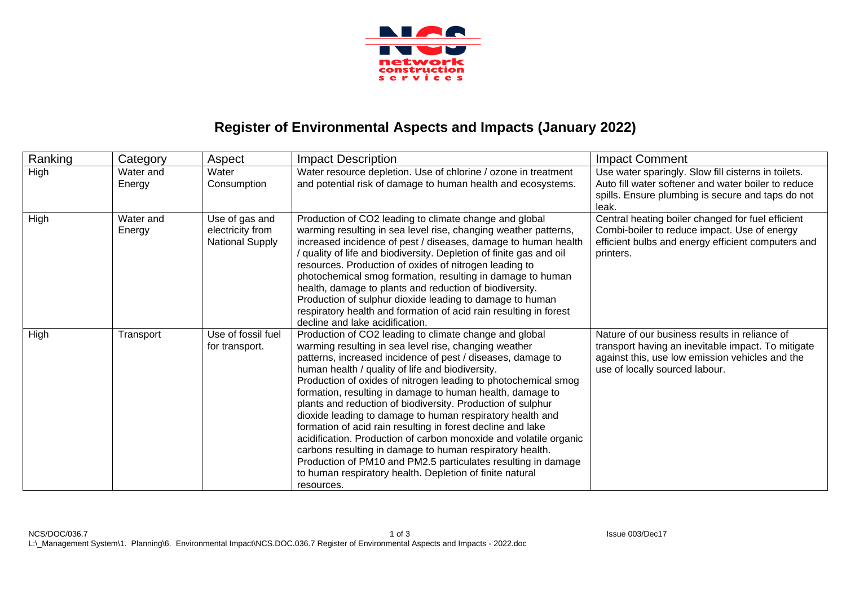

## **Register of Environmental Aspects and Impacts (January 2022)**

| Ranking | Category            | Aspect                                                       | <b>Impact Description</b>                                                                                                                                                                                                                                                                                                                                                                                                                                                                                                                                                                                                                                                                                                                                                                                                                | <b>Impact Comment</b>                                                                                                                                                                    |
|---------|---------------------|--------------------------------------------------------------|------------------------------------------------------------------------------------------------------------------------------------------------------------------------------------------------------------------------------------------------------------------------------------------------------------------------------------------------------------------------------------------------------------------------------------------------------------------------------------------------------------------------------------------------------------------------------------------------------------------------------------------------------------------------------------------------------------------------------------------------------------------------------------------------------------------------------------------|------------------------------------------------------------------------------------------------------------------------------------------------------------------------------------------|
| High    | Water and<br>Energy | Water<br>Consumption                                         | Water resource depletion. Use of chlorine / ozone in treatment<br>and potential risk of damage to human health and ecosystems.                                                                                                                                                                                                                                                                                                                                                                                                                                                                                                                                                                                                                                                                                                           | Use water sparingly. Slow fill cisterns in toilets.<br>Auto fill water softener and water boiler to reduce<br>spills. Ensure plumbing is secure and taps do not<br>leak.                 |
| High    | Water and<br>Energy | Use of gas and<br>electricity from<br><b>National Supply</b> | Production of CO2 leading to climate change and global<br>warming resulting in sea level rise, changing weather patterns,<br>increased incidence of pest / diseases, damage to human health<br>/ quality of life and biodiversity. Depletion of finite gas and oil<br>resources. Production of oxides of nitrogen leading to<br>photochemical smog formation, resulting in damage to human<br>health, damage to plants and reduction of biodiversity.<br>Production of sulphur dioxide leading to damage to human<br>respiratory health and formation of acid rain resulting in forest<br>decline and lake acidification.                                                                                                                                                                                                                | Central heating boiler changed for fuel efficient<br>Combi-boiler to reduce impact. Use of energy<br>efficient bulbs and energy efficient computers and<br>printers.                     |
| High    | Transport           | Use of fossil fuel<br>for transport.                         | Production of CO2 leading to climate change and global<br>warming resulting in sea level rise, changing weather<br>patterns, increased incidence of pest / diseases, damage to<br>human health / quality of life and biodiversity.<br>Production of oxides of nitrogen leading to photochemical smog<br>formation, resulting in damage to human health, damage to<br>plants and reduction of biodiversity. Production of sulphur<br>dioxide leading to damage to human respiratory health and<br>formation of acid rain resulting in forest decline and lake<br>acidification. Production of carbon monoxide and volatile organic<br>carbons resulting in damage to human respiratory health.<br>Production of PM10 and PM2.5 particulates resulting in damage<br>to human respiratory health. Depletion of finite natural<br>resources. | Nature of our business results in reliance of<br>transport having an inevitable impact. To mitigate<br>against this, use low emission vehicles and the<br>use of locally sourced labour. |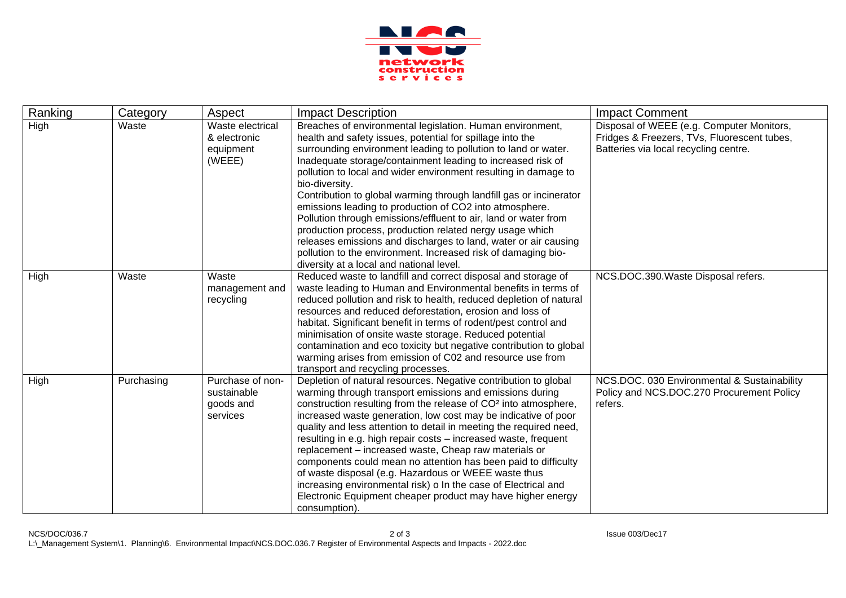

| Ranking | Category   | Aspect           | <b>Impact Description</b>                                                                                                        | <b>Impact Comment</b>                       |
|---------|------------|------------------|----------------------------------------------------------------------------------------------------------------------------------|---------------------------------------------|
| High    | Waste      | Waste electrical | Breaches of environmental legislation. Human environment,                                                                        | Disposal of WEEE (e.g. Computer Monitors,   |
|         |            | & electronic     | health and safety issues, potential for spillage into the                                                                        | Fridges & Freezers, TVs, Fluorescent tubes, |
|         |            | equipment        | surrounding environment leading to pollution to land or water.                                                                   | Batteries via local recycling centre.       |
|         |            | (WEEE)           | Inadequate storage/containment leading to increased risk of                                                                      |                                             |
|         |            |                  | pollution to local and wider environment resulting in damage to                                                                  |                                             |
|         |            |                  | bio-diversity.                                                                                                                   |                                             |
|         |            |                  | Contribution to global warming through landfill gas or incinerator                                                               |                                             |
|         |            |                  | emissions leading to production of CO2 into atmosphere.                                                                          |                                             |
|         |            |                  | Pollution through emissions/effluent to air, land or water from                                                                  |                                             |
|         |            |                  | production process, production related nergy usage which                                                                         |                                             |
|         |            |                  | releases emissions and discharges to land, water or air causing<br>pollution to the environment. Increased risk of damaging bio- |                                             |
|         |            |                  | diversity at a local and national level.                                                                                         |                                             |
| High    | Waste      | Waste            | Reduced waste to landfill and correct disposal and storage of                                                                    | NCS.DOC.390.Waste Disposal refers.          |
|         |            | management and   | waste leading to Human and Environmental benefits in terms of                                                                    |                                             |
|         |            | recycling        | reduced pollution and risk to health, reduced depletion of natural                                                               |                                             |
|         |            |                  | resources and reduced deforestation, erosion and loss of                                                                         |                                             |
|         |            |                  | habitat. Significant benefit in terms of rodent/pest control and                                                                 |                                             |
|         |            |                  | minimisation of onsite waste storage. Reduced potential                                                                          |                                             |
|         |            |                  | contamination and eco toxicity but negative contribution to global                                                               |                                             |
|         |            |                  | warming arises from emission of C02 and resource use from                                                                        |                                             |
|         |            |                  | transport and recycling processes.                                                                                               |                                             |
| High    | Purchasing | Purchase of non- | Depletion of natural resources. Negative contribution to global                                                                  | NCS.DOC. 030 Environmental & Sustainability |
|         |            | sustainable      | warming through transport emissions and emissions during                                                                         | Policy and NCS.DOC.270 Procurement Policy   |
|         |            | goods and        | construction resulting from the release of CO <sup>2</sup> into atmosphere,                                                      | refers.                                     |
|         |            | services         | increased waste generation, low cost may be indicative of poor                                                                   |                                             |
|         |            |                  | quality and less attention to detail in meeting the required need,                                                               |                                             |
|         |            |                  | resulting in e.g. high repair costs - increased waste, frequent                                                                  |                                             |
|         |            |                  | replacement - increased waste, Cheap raw materials or                                                                            |                                             |
|         |            |                  | components could mean no attention has been paid to difficulty                                                                   |                                             |
|         |            |                  | of waste disposal (e.g. Hazardous or WEEE waste thus                                                                             |                                             |
|         |            |                  | increasing environmental risk) o In the case of Electrical and                                                                   |                                             |
|         |            |                  | Electronic Equipment cheaper product may have higher energy                                                                      |                                             |
|         |            |                  | consumption).                                                                                                                    |                                             |